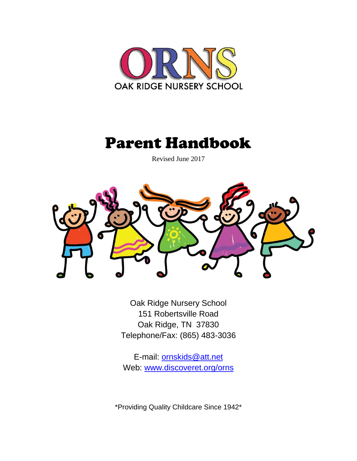

# Parent Handbook

Revised June 2017



Oak Ridge Nursery School 151 Robertsville Road Oak Ridge, TN 37830 Telephone/Fax: (865) 483-3036

E-mail: **ornskids@att.net** Web: [www.discoveret.org/orns](http://www.discoveret.org/orns)

\*Providing Quality Childcare Since 1942\*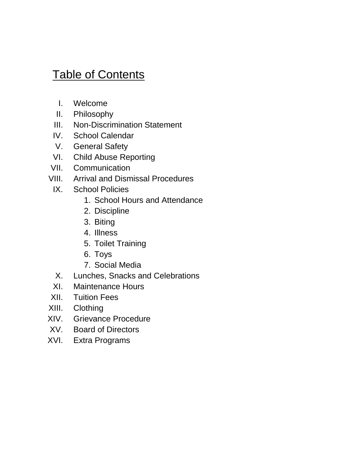# **Table of Contents**

- I. Welcome
- II. Philosophy
- III. Non-Discrimination Statement
- IV. School Calendar
- V. General Safety
- VI. Child Abuse Reporting
- VII. Communication
- VIII. Arrival and Dismissal Procedures
	- IX. School Policies
		- 1. School Hours and Attendance
		- 2. Discipline
		- 3. Biting
		- 4. Illness
		- 5. Toilet Training
		- 6. Toys
		- 7. Social Media
	- X. Lunches, Snacks and Celebrations
	- XI. Maintenance Hours
- XII. Tuition Fees
- XIII. Clothing
- XIV. Grievance Procedure
- XV. Board of Directors
- XVI. Extra Programs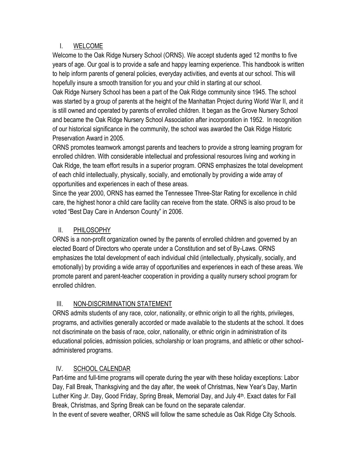#### I. WELCOME

Welcome to the Oak Ridge Nursery School (ORNS). We accept students aged 12 months to five years of age. Our goal is to provide a safe and happy learning experience. This handbook is written to help inform parents of general policies, everyday activities, and events at our school. This will hopefully insure a smooth transition for you and your child in starting at our school.

Oak Ridge Nursery School has been a part of the Oak Ridge community since 1945. The school was started by a group of parents at the height of the Manhattan Project during World War II, and it is still owned and operated by parents of enrolled children. It began as the Grove Nursery School and became the Oak Ridge Nursery School Association after incorporation in 1952. In recognition of our historical significance in the community, the school was awarded the Oak Ridge Historic Preservation Award in 2005.

ORNS promotes teamwork amongst parents and teachers to provide a strong learning program for enrolled children. With considerable intellectual and professional resources living and working in Oak Ridge, the team effort results in a superior program. ORNS emphasizes the total development of each child intellectually, physically, socially, and emotionally by providing a wide array of opportunities and experiences in each of these areas.

Since the year 2000, ORNS has earned the Tennessee Three-Star Rating for excellence in child care, the highest honor a child care facility can receive from the state. ORNS is also proud to be voted "Best Day Care in Anderson County" in 2006.

#### II. PHILOSOPHY

ORNS is a non-profit organization owned by the parents of enrolled children and governed by an elected Board of Directors who operate under a Constitution and set of By-Laws. ORNS emphasizes the total development of each individual child (intellectually, physically, socially, and emotionally) by providing a wide array of opportunities and experiences in each of these areas. We promote parent and parent-teacher cooperation in providing a quality nursery school program for enrolled children.

#### III. NON-DISCRIMINATION STATEMENT

ORNS admits students of any race, color, nationality, or ethnic origin to all the rights, privileges, programs, and activities generally accorded or made available to the students at the school. It does not discriminate on the basis of race, color, nationality, or ethnic origin in administration of its educational policies, admission policies, scholarship or loan programs, and athletic or other schooladministered programs.

# IV. SCHOOL CALENDAR

Part-time and full-time programs will operate during the year with these holiday exceptions: Labor Day, Fall Break, Thanksgiving and the day after, the week of Christmas, New Year's Day, Martin Luther King Jr. Day, Good Friday, Spring Break, Memorial Day, and July 4<sup>th</sup>. Exact dates for Fall Break, Christmas, and Spring Break can be found on the separate calendar.

In the event of severe weather, ORNS will follow the same schedule as Oak Ridge City Schools.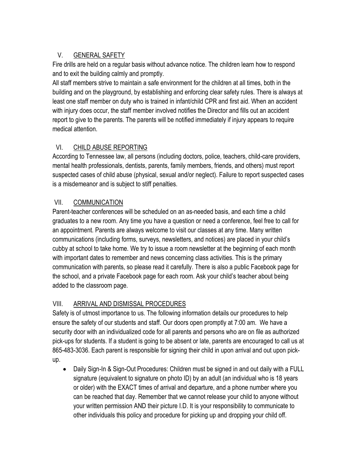# V. GENERAL SAFETY

Fire drills are held on a regular basis without advance notice. The children learn how to respond and to exit the building calmly and promptly.

All staff members strive to maintain a safe environment for the children at all times, both in the building and on the playground, by establishing and enforcing clear safety rules. There is always at least one staff member on duty who is trained in infant/child CPR and first aid. When an accident with injury does occur, the staff member involved notifies the Director and fills out an accident report to give to the parents. The parents will be notified immediately if injury appears to require medical attention.

## VI. CHILD ABUSE REPORTING

According to Tennessee law, all persons (including doctors, police, teachers, child-care providers, mental health professionals, dentists, parents, family members, friends, and others) must report suspected cases of child abuse (physical, sexual and/or neglect). Failure to report suspected cases is a misdemeanor and is subject to stiff penalties.

#### VII. COMMUNICATION

Parent-teacher conferences will be scheduled on an as-needed basis, and each time a child graduates to a new room. Any time you have a question or need a conference, feel free to call for an appointment. Parents are always welcome to visit our classes at any time. Many written communications (including forms, surveys, newsletters, and notices) are placed in your child's cubby at school to take home. We try to issue a room newsletter at the beginning of each month with important dates to remember and news concerning class activities. This is the primary communication with parents, so please read it carefully. There is also a public Facebook page for the school, and a private Facebook page for each room. Ask your child's teacher about being added to the classroom page.

#### VIII. ARRIVAL AND DISMISSAL PROCEDURES

Safety is of utmost importance to us. The following information details our procedures to help ensure the safety of our students and staff. Our doors open promptly at 7:00 am. We have a security door with an individualized code for all parents and persons who are on file as authorized pick-ups for students. If a student is going to be absent or late, parents are encouraged to call us at 865-483-3036. Each parent is responsible for signing their child in upon arrival and out upon pickup.

• Daily Sign-In & Sign-Out Procedures: Children must be signed in and out daily with a FULL signature (equivalent to signature on photo ID) by an adult (an individual who is 18 years or older) with the EXACT times of arrival and departure, and a phone number where you can be reached that day. Remember that we cannot release your child to anyone without your written permission AND their picture I.D. It is your responsibility to communicate to other individuals this policy and procedure for picking up and dropping your child off.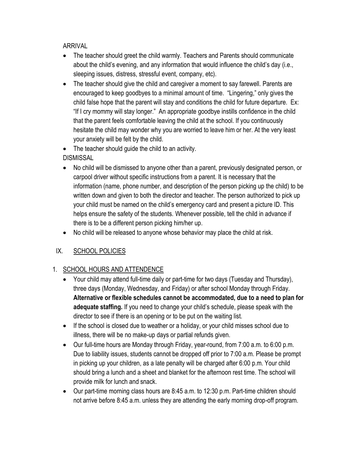ARRIVAL

- The teacher should greet the child warmly. Teachers and Parents should communicate about the child's evening, and any information that would influence the child's day (i.e., sleeping issues, distress, stressful event, company, etc).
- The teacher should give the child and caregiver a moment to say farewell. Parents are encouraged to keep goodbyes to a minimal amount of time. "Lingering," only gives the child false hope that the parent will stay and conditions the child for future departure. Ex: "If I cry mommy will stay longer." An appropriate goodbye instills confidence in the child that the parent feels comfortable leaving the child at the school. If you continuously hesitate the child may wonder why you are worried to leave him or her. At the very least your anxiety will be felt by the child.

• The teacher should guide the child to an activity. DISMISSAL

- No child will be dismissed to anyone other than a parent, previously designated person, or carpool driver without specific instructions from a parent. It is necessary that the information (name, phone number, and description of the person picking up the child) to be written down and given to both the director and teacher. The person authorized to pick up your child must be named on the child's emergency card and present a picture ID. This helps ensure the safety of the students. Whenever possible, tell the child in advance if there is to be a different person picking him/her up.
- No child will be released to anyone whose behavior may place the child at risk.

#### IX. SCHOOL POLICIES

#### 1. SCHOOL HOURS AND ATTENDENCE

- Your child may attend full-time daily or part-time for two days (Tuesday and Thursday), three days (Monday, Wednesday, and Friday) or after school Monday through Friday. **Alternative or flexible schedules cannot be accommodated, due to a need to plan for adequate staffing.** If you need to change your child's schedule, please speak with the director to see if there is an opening or to be put on the waiting list.
- If the school is closed due to weather or a holiday, or your child misses school due to illness, there will be no make-up days or partial refunds given.
- Our full-time hours are Monday through Friday, year-round, from 7:00 a.m. to 6:00 p.m. Due to liability issues, students cannot be dropped off prior to 7:00 a.m. Please be prompt in picking up your children, as a late penalty will be charged after 6:00 p.m. Your child should bring a lunch and a sheet and blanket for the afternoon rest time. The school will provide milk for lunch and snack.
- Our part-time morning class hours are 8:45 a.m. to 12:30 p.m. Part-time children should not arrive before 8:45 a.m. unless they are attending the early morning drop-off program.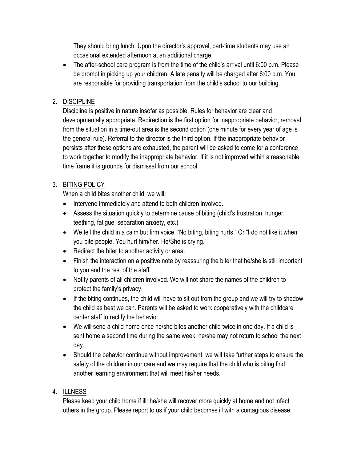They should bring lunch. Upon the director's approval, part-time students may use an occasional extended afternoon at an additional charge.

• The after-school care program is from the time of the child's arrival until 6:00 p.m. Please be prompt in picking up your children. A late penalty will be charged after 6:00 p.m. You are responsible for providing transportation from the child's school to our building.

#### 2. DISCIPLINE

Discipline is positive in nature insofar as possible. Rules for behavior are clear and developmentally appropriate. Redirection is the first option for inappropriate behavior, removal from the situation in a time-out area is the second option (one minute for every year of age is the general rule). Referral to the director is the third option. If the inappropriate behavior persists after these options are exhausted, the parent will be asked to come for a conference to work together to modify the inappropriate behavior. If it is not improved within a reasonable time frame it is grounds for dismissal from our school.

#### 3. BITING POLICY

When a child bites another child, we will:

- Intervene immediately and attend to both children involved.
- Assess the situation quickly to determine cause of biting (child's frustration, hunger, teething, fatigue, separation anxiety, etc.)
- We tell the child in a calm but firm voice, "No biting, biting hurts." Or "I do not like it when you bite people. You hurt him/her. He/She is crying."
- Redirect the biter to another activity or area.
- Finish the interaction on a positive note by reassuring the biter that he/she is still important to you and the rest of the staff.
- Notify parents of all children involved. We will not share the names of the children to protect the family's privacy.
- If the biting continues, the child will have to sit out from the group and we will try to shadow the child as best we can. Parents will be asked to work cooperatively with the childcare center staff to rectify the behavior.
- We will send a child home once he/she bites another child twice in one day. If a child is sent home a second time during the same week, he/she may not return to school the next day.
- Should the behavior continue without improvement, we will take further steps to ensure the safety of the children in our care and we may require that the child who is biting find another learning environment that will meet his/her needs.

#### 4. ILLNESS

Please keep your child home if ill: he/she will recover more quickly at home and not infect others in the group. Please report to us if your child becomes ill with a contagious disease.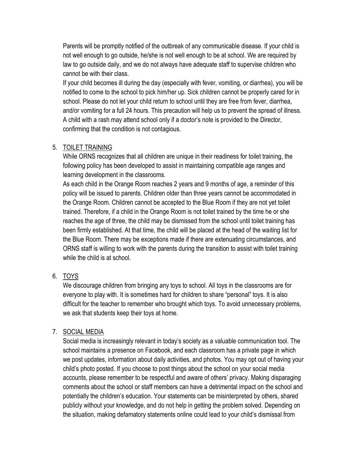Parents will be promptly notified of the outbreak of any communicable disease. If your child is not well enough to go outside, he/she is not well enough to be at school. We are required by law to go outside daily, and we do not always have adequate staff to supervise children who cannot be with their class.

If your child becomes ill during the day (especially with fever, vomiting, or diarrhea), you will be notified to come to the school to pick him/her up. Sick children cannot be properly cared for in school. Please do not let your child return to school until they are free from fever, diarrhea, and/or vomiting for a full 24 hours. This precaution will help us to prevent the spread of illness. A child with a rash may attend school only if a doctor's note is provided to the Director, confirming that the condition is not contagious.

#### 5. TOILET TRAINING

While ORNS recognizes that all children are unique in their readiness for toilet training, the following policy has been developed to assist in maintaining compatible age ranges and learning development in the classrooms.

As each child in the Orange Room reaches 2 years and 9 months of age, a reminder of this policy will be issued to parents. Children older than three years cannot be accommodated in the Orange Room. Children cannot be accepted to the Blue Room if they are not yet toilet trained. Therefore, if a child in the Orange Room is not toilet trained by the time he or she reaches the age of three, the child may be dismissed from the school until toilet training has been firmly established. At that time, the child will be placed at the head of the waiting list for the Blue Room. There may be exceptions made if there are extenuating circumstances, and ORNS staff is willing to work with the parents during the transition to assist with toilet training while the child is at school

#### 6. TOYS

We discourage children from bringing any toys to school. All toys in the classrooms are for everyone to play with. It is sometimes hard for children to share "personal" toys. It is also difficult for the teacher to remember who brought which toys. To avoid unnecessary problems, we ask that students keep their toys at home.

#### 7. SOCIAL MEDIA

Social media is increasingly relevant in today's society as a valuable communication tool. The school maintains a presence on Facebook, and each classroom has a private page in which we post updates, information about daily activities, and photos. You may opt out of having your child's photo posted. If you choose to post things about the school on your social media accounts, please remember to be respectful and aware of others' privacy. Making disparaging comments about the school or staff members can have a detrimental impact on the school and potentially the children's education. Your statements can be misinterpreted by others, shared publicly without your knowledge, and do not help in getting the problem solved. Depending on the situation, making defamatory statements online could lead to your child's dismissal from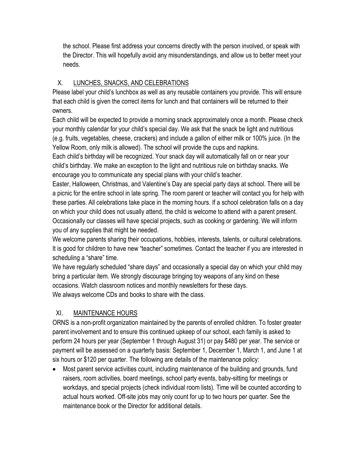the school. Please first address your concerns directly with the person involved, or speak with the Director. This will hopefully avoid any misunderstandings, and allow us to better meet your needs.

#### X. LUNCHES, SNACKS, AND CELEBRATIONS

Please label your child's lunchbox as well as any reusable containers you provide. This will ensure that each child is given the correct items for lunch and that containers will be returned to their owners.

Each child will be expected to provide a morning snack approximately once a month. Please check your monthly calendar for your child's special day. We ask that the snack be light and nutritious (e.g. fruits, vegetables, cheese, crackers) and include a gallon of either milk or 100% juice. (In the Yellow Room, only milk is allowed). The school will provide the cups and napkins.

Each child's birthday will be recognized. Your snack day will automatically fall on or near your child's birthday. We make an exception to the light and nutritious rule on birthday snacks. We encourage you to communicate any special plans with your child's teacher.

Easter, Halloween, Christmas, and Valentine's Day are special party days at school. There will be a picnic for the entire school in late spring. The room parent or teacher will contact you for help with these parties. All celebrations take place in the morning hours. If a school celebration falls on a day on which your child does not usually attend, the child is welcome to attend with a parent present. Occasionally our classes will have special projects, such as cooking or gardening. We will inform you of any supplies that might be needed.

We welcome parents sharing their occupations, hobbies, interests, talents, or cultural celebrations. It is good for children to have new "teacher" sometimes. Contact the teacher if you are interested in scheduling a "share" time.

We have regularly scheduled "share days" and occasionally a special day on which your child may bring a particular item. We strongly discourage bringing toy weapons of any kind on these occasions. Watch classroom notices and monthly newsletters for these days. We always welcome CDs and books to share with the class.

#### XI. MAINTENANCE HOURS

ORNS is a non-profit organization maintained by the parents of enrolled children. To foster greater parent involvement and to ensure this continued upkeep of our school, each family is asked to perform 24 hours per year (September 1 through August 31) or pay \$480 per year. The service or payment will be assessed on a quarterly basis: September 1, December 1, March 1, and June 1 at six hours or \$120 per quarter. The following are details of the maintenance policy:

 Most parent service activities count, including maintenance of the building and grounds, fund raisers, room activities, board meetings, school party events, baby-sitting for meetings or workdays, and special projects (check individual room lists). Time will be counted according to actual hours worked. Off-site jobs may only count for up to two hours per quarter. See the maintenance book or the Director for additional details.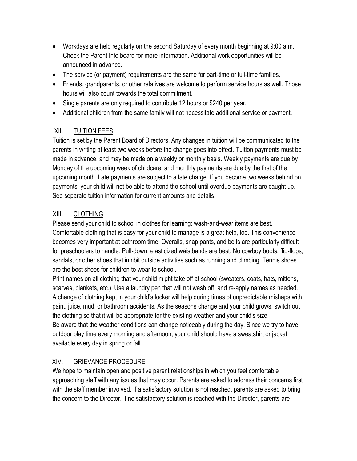- Workdays are held regularly on the second Saturday of every month beginning at 9:00 a.m. Check the Parent Info board for more information. Additional work opportunities will be announced in advance.
- The service (or payment) requirements are the same for part-time or full-time families.
- Friends, grandparents, or other relatives are welcome to perform service hours as well. Those hours will also count towards the total commitment.
- Single parents are only required to contribute 12 hours or \$240 per year.
- Additional children from the same family will not necessitate additional service or payment.

#### XII. TUITION FEES

Tuition is set by the Parent Board of Directors. Any changes in tuition will be communicated to the parents in writing at least two weeks before the change goes into effect. Tuition payments must be made in advance, and may be made on a weekly or monthly basis. Weekly payments are due by Monday of the upcoming week of childcare, and monthly payments are due by the first of the upcoming month. Late payments are subject to a late charge. If you become two weeks behind on payments, your child will not be able to attend the school until overdue payments are caught up. See separate tuition information for current amounts and details.

#### XIII. CLOTHING

Please send your child to school in clothes for learning: wash-and-wear items are best. Comfortable clothing that is easy for your child to manage is a great help, too. This convenience becomes very important at bathroom time. Overalls, snap pants, and belts are particularly difficult for preschoolers to handle. Pull-down, elasticized waistbands are best. No cowboy boots, flip-flops, sandals, or other shoes that inhibit outside activities such as running and climbing. Tennis shoes are the best shoes for children to wear to school.

Print names on all clothing that your child might take off at school (sweaters, coats, hats, mittens, scarves, blankets, etc.). Use a laundry pen that will not wash off, and re-apply names as needed. A change of clothing kept in your child's locker will help during times of unpredictable mishaps with paint, juice, mud, or bathroom accidents. As the seasons change and your child grows, switch out the clothing so that it will be appropriate for the existing weather and your child's size. Be aware that the weather conditions can change noticeably during the day. Since we try to have outdoor play time every morning and afternoon, your child should have a sweatshirt or jacket available every day in spring or fall.

#### XIV. GRIEVANCE PROCEDURE

We hope to maintain open and positive parent relationships in which you feel comfortable approaching staff with any issues that may occur. Parents are asked to address their concerns first with the staff member involved. If a satisfactory solution is not reached, parents are asked to bring the concern to the Director. If no satisfactory solution is reached with the Director, parents are